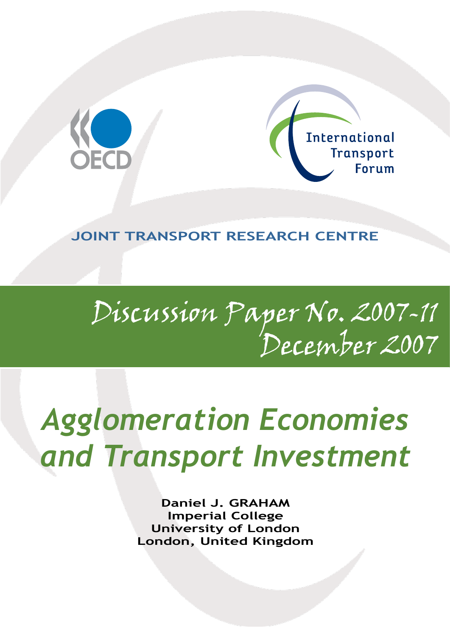



## **JOINT TRANSPORT RESEARCH CENTRE**

# Discussion Paper No. 2007-11 December 2007

# *Agglomeration Economies and Transport Investment*

**Daniel J. GRAHAM Imperial College University of London London, United Kingdom**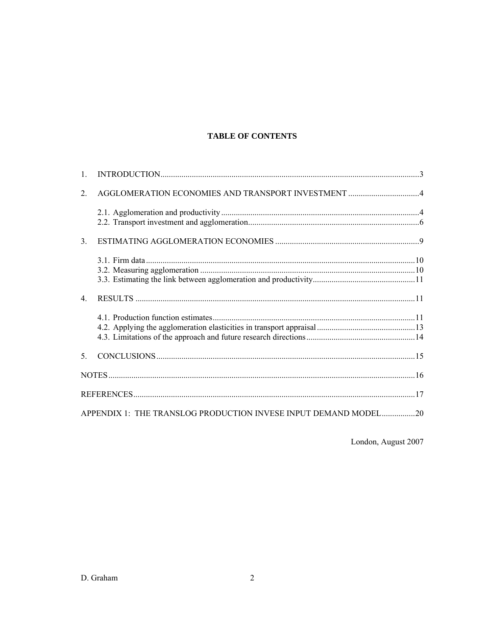### **TABLE OF CONTENTS**

| 1.             |                                                                 |  |
|----------------|-----------------------------------------------------------------|--|
| 2.             |                                                                 |  |
|                |                                                                 |  |
| $\mathbf{3}$ . |                                                                 |  |
|                |                                                                 |  |
| $4_{\cdot}$    |                                                                 |  |
|                |                                                                 |  |
| $\mathcal{F}$  |                                                                 |  |
|                |                                                                 |  |
|                |                                                                 |  |
|                | APPENDIX 1: THE TRANSLOG PRODUCTION INVESE INPUT DEMAND MODEL20 |  |

London, August 2007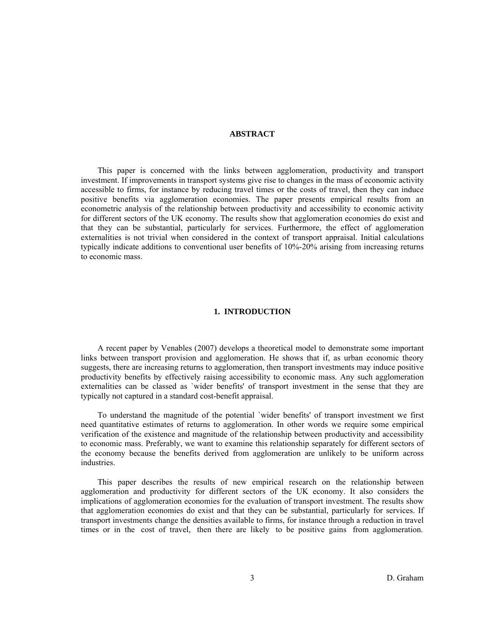#### **ABSTRACT**

 This paper is concerned with the links between agglomeration, productivity and transport investment. If improvements in transport systems give rise to changes in the mass of economic activity accessible to firms, for instance by reducing travel times or the costs of travel, then they can induce positive benefits via agglomeration economies. The paper presents empirical results from an econometric analysis of the relationship between productivity and accessibility to economic activity for different sectors of the UK economy. The results show that agglomeration economies do exist and that they can be substantial, particularly for services. Furthermore, the effect of agglomeration externalities is not trivial when considered in the context of transport appraisal. Initial calculations typically indicate additions to conventional user benefits of 10%-20% arising from increasing returns to economic mass.

#### **1. INTRODUCTION**

 A recent paper by Venables (2007) develops a theoretical model to demonstrate some important links between transport provision and agglomeration. He shows that if, as urban economic theory suggests, there are increasing returns to agglomeration, then transport investments may induce positive productivity benefits by effectively raising accessibility to economic mass. Any such agglomeration externalities can be classed as `wider benefits' of transport investment in the sense that they are typically not captured in a standard cost-benefit appraisal.

 To understand the magnitude of the potential `wider benefits' of transport investment we first need quantitative estimates of returns to agglomeration. In other words we require some empirical verification of the existence and magnitude of the relationship between productivity and accessibility to economic mass. Preferably, we want to examine this relationship separately for different sectors of the economy because the benefits derived from agglomeration are unlikely to be uniform across industries.

 This paper describes the results of new empirical research on the relationship between agglomeration and productivity for different sectors of the UK economy. It also considers the implications of agglomeration economies for the evaluation of transport investment. The results show that agglomeration economies do exist and that they can be substantial, particularly for services. If transport investments change the densities available to firms, for instance through a reduction in travel times or in the cost of travel, then there are likely to be positive gains from agglomeration.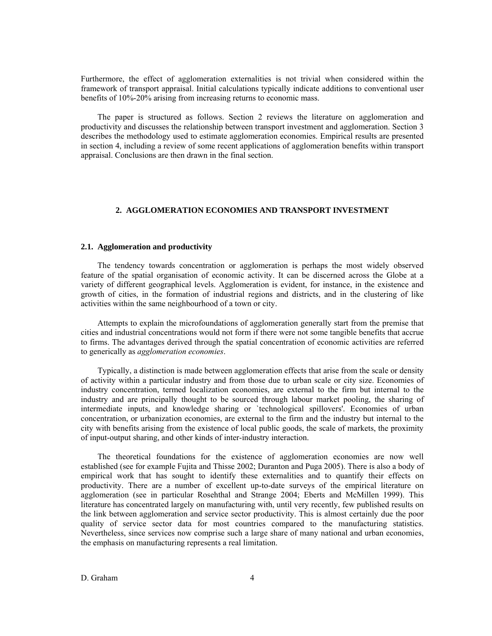Furthermore, the effect of agglomeration externalities is not trivial when considered within the framework of transport appraisal. Initial calculations typically indicate additions to conventional user benefits of 10%-20% arising from increasing returns to economic mass.

 The paper is structured as follows. Section 2 reviews the literature on agglomeration and productivity and discusses the relationship between transport investment and agglomeration. Section 3 describes the methodology used to estimate agglomeration economies. Empirical results are presented in section 4, including a review of some recent applications of agglomeration benefits within transport appraisal. Conclusions are then drawn in the final section.

#### **2. AGGLOMERATION ECONOMIES AND TRANSPORT INVESTMENT**

#### **2.1. Agglomeration and productivity**

 The tendency towards concentration or agglomeration is perhaps the most widely observed feature of the spatial organisation of economic activity. It can be discerned across the Globe at a variety of different geographical levels. Agglomeration is evident, for instance, in the existence and growth of cities, in the formation of industrial regions and districts, and in the clustering of like activities within the same neighbourhood of a town or city.

 Attempts to explain the microfoundations of agglomeration generally start from the premise that cities and industrial concentrations would not form if there were not some tangible benefits that accrue to firms. The advantages derived through the spatial concentration of economic activities are referred to generically as *agglomeration economies*.

 Typically, a distinction is made between agglomeration effects that arise from the scale or density of activity within a particular industry and from those due to urban scale or city size. Economies of industry concentration, termed localization economies, are external to the firm but internal to the industry and are principally thought to be sourced through labour market pooling, the sharing of intermediate inputs, and knowledge sharing or `technological spillovers'. Economies of urban concentration, or urbanization economies, are external to the firm and the industry but internal to the city with benefits arising from the existence of local public goods, the scale of markets, the proximity of input-output sharing, and other kinds of inter-industry interaction.

 The theoretical foundations for the existence of agglomeration economies are now well established (see for example Fujita and Thisse 2002; Duranton and Puga 2005). There is also a body of empirical work that has sought to identify these externalities and to quantify their effects on productivity. There are a number of excellent up-to-date surveys of the empirical literature on agglomeration (see in particular Rosehthal and Strange 2004; Eberts and McMillen 1999). This literature has concentrated largely on manufacturing with, until very recently, few published results on the link between agglomeration and service sector productivity. This is almost certainly due the poor quality of service sector data for most countries compared to the manufacturing statistics. Nevertheless, since services now comprise such a large share of many national and urban economies, the emphasis on manufacturing represents a real limitation.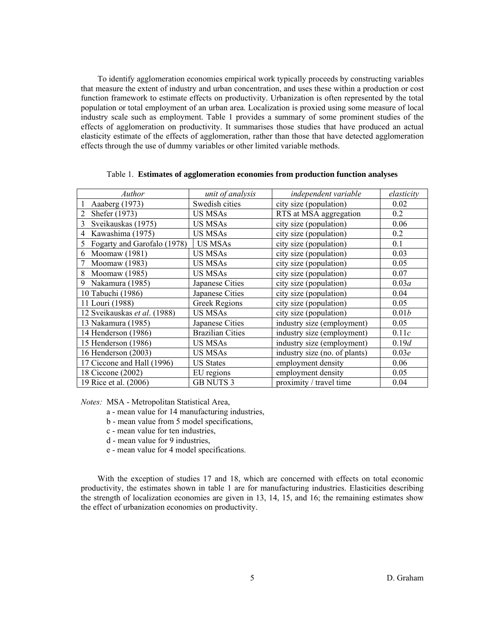To identify agglomeration economies empirical work typically proceeds by constructing variables that measure the extent of industry and urban concentration, and uses these within a production or cost function framework to estimate effects on productivity. Urbanization is often represented by the total population or total employment of an urban area. Localization is proxied using some measure of local industry scale such as employment. Table 1 provides a summary of some prominent studies of the effects of agglomeration on productivity. It summarises those studies that have produced an actual elasticity estimate of the effects of agglomeration, rather than those that have detected agglomeration effects through the use of dummy variables or other limited variable methods.

| Author                       | unit of analysis        | independent variable          | elasticity |
|------------------------------|-------------------------|-------------------------------|------------|
| Aaaberg (1973)               | Swedish cities          | city size (population)        | 0.02       |
| Shefer (1973)<br>2           | <b>US MSAs</b>          | RTS at MSA aggregation        | 0.2        |
| Sveikauskas (1975)<br>3      | <b>US MSAs</b>          | city size (population)        | 0.06       |
| Kawashima (1975)             | <b>US MSAs</b>          | city size (population)        | 0.2        |
| Fogarty and Garofalo (1978)  | <b>US MSAs</b>          | city size (population)        | 0.1        |
| Moomaw (1981)<br>6           | <b>US MSAs</b>          | city size (population)        | 0.03       |
| Moomaw (1983)                | <b>US MSAs</b>          | city size (population)        | 0.05       |
| Moomaw (1985)<br>8           | <b>US MSAs</b>          | city size (population)        | 0.07       |
| Nakamura (1985)<br>9         | Japanese Cities         | city size (population)        | 0.03a      |
| 10 Tabuchi (1986)            | Japanese Cities         | city size (population)        | 0.04       |
| 11 Louri (1988)              | Greek Regions           | city size (population)        | 0.05       |
| 12 Sveikauskas et al. (1988) | <b>US MSAs</b>          | city size (population)        | 0.01b      |
| 13 Nakamura (1985)           | Japanese Cities         | industry size (employment)    | 0.05       |
| 14 Henderson (1986)          | <b>Brazilian Cities</b> | industry size (employment)    | 0.11c      |
| 15 Henderson (1986)          | <b>US MSAs</b>          | industry size (employment)    | 0.19d      |
| 16 Henderson (2003)          | <b>US MSAs</b>          | industry size (no. of plants) | 0.03e      |
| 17 Ciccone and Hall (1996)   | <b>US</b> States        | employment density            | 0.06       |
| 18 Ciccone (2002)            | EU regions              | employment density            | 0.05       |
| 19 Rice et al. (2006)        | <b>GB NUTS 3</b>        | proximity / travel time       | 0.04       |

Table 1. **Estimates of agglomeration economies from production function analyses**

*Notes:* MSA - Metropolitan Statistical Area,

a - mean value for 14 manufacturing industries,

b - mean value from 5 model specifications,

c - mean value for ten industries,

d - mean value for 9 industries,

e - mean value for 4 model specifications.

 With the exception of studies 17 and 18, which are concerned with effects on total economic productivity, the estimates shown in table 1 are for manufacturing industries. Elasticities describing the strength of localization economies are given in 13, 14, 15, and 16; the remaining estimates show the effect of urbanization economies on productivity.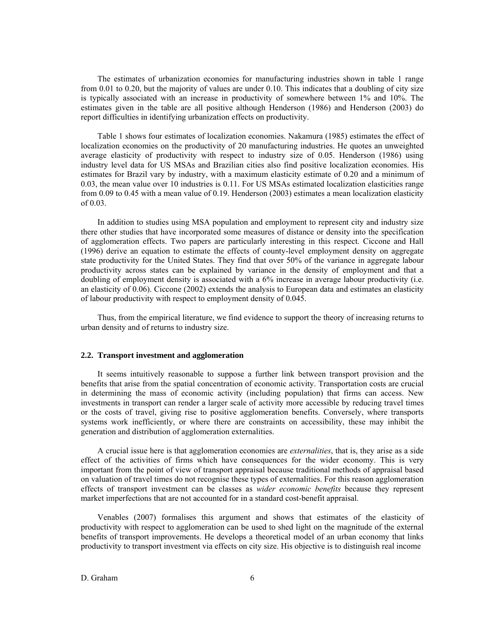The estimates of urbanization economies for manufacturing industries shown in table 1 range from 0.01 to 0.20, but the majority of values are under 0.10. This indicates that a doubling of city size is typically associated with an increase in productivity of somewhere between 1% and 10%. The estimates given in the table are all positive although Henderson (1986) and Henderson (2003) do report difficulties in identifying urbanization effects on productivity.

 Table 1 shows four estimates of localization economies. Nakamura (1985) estimates the effect of localization economies on the productivity of 20 manufacturing industries. He quotes an unweighted average elasticity of productivity with respect to industry size of 0.05. Henderson (1986) using industry level data for US MSAs and Brazilian cities also find positive localization economies. His estimates for Brazil vary by industry, with a maximum elasticity estimate of 0.20 and a minimum of 0.03, the mean value over 10 industries is 0.11. For US MSAs estimated localization elasticities range from 0.09 to 0.45 with a mean value of 0.19. Henderson (2003) estimates a mean localization elasticity of 0.03.

 In addition to studies using MSA population and employment to represent city and industry size there other studies that have incorporated some measures of distance or density into the specification of agglomeration effects. Two papers are particularly interesting in this respect. Ciccone and Hall (1996) derive an equation to estimate the effects of county-level employment density on aggregate state productivity for the United States. They find that over 50% of the variance in aggregate labour productivity across states can be explained by variance in the density of employment and that a doubling of employment density is associated with a 6% increase in average labour productivity (i.e. an elasticity of 0.06). Ciccone (2002) extends the analysis to European data and estimates an elasticity of labour productivity with respect to employment density of 0.045.

 Thus, from the empirical literature, we find evidence to support the theory of increasing returns to urban density and of returns to industry size.

#### **2.2. Transport investment and agglomeration**

 It seems intuitively reasonable to suppose a further link between transport provision and the benefits that arise from the spatial concentration of economic activity. Transportation costs are crucial in determining the mass of economic activity (including population) that firms can access. New investments in transport can render a larger scale of activity more accessible by reducing travel times or the costs of travel, giving rise to positive agglomeration benefits. Conversely, where transports systems work inefficiently, or where there are constraints on accessibility, these may inhibit the generation and distribution of agglomeration externalities.

 A crucial issue here is that agglomeration economies are *externalities*, that is, they arise as a side effect of the activities of firms which have consequences for the wider economy. This is very important from the point of view of transport appraisal because traditional methods of appraisal based on valuation of travel times do not recognise these types of externalities. For this reason agglomeration effects of transport investment can be classes as *wider economic benefits* because they represent market imperfections that are not accounted for in a standard cost-benefit appraisal.

 Venables (2007) formalises this argument and shows that estimates of the elasticity of productivity with respect to agglomeration can be used to shed light on the magnitude of the external benefits of transport improvements. He develops a theoretical model of an urban economy that links productivity to transport investment via effects on city size. His objective is to distinguish real income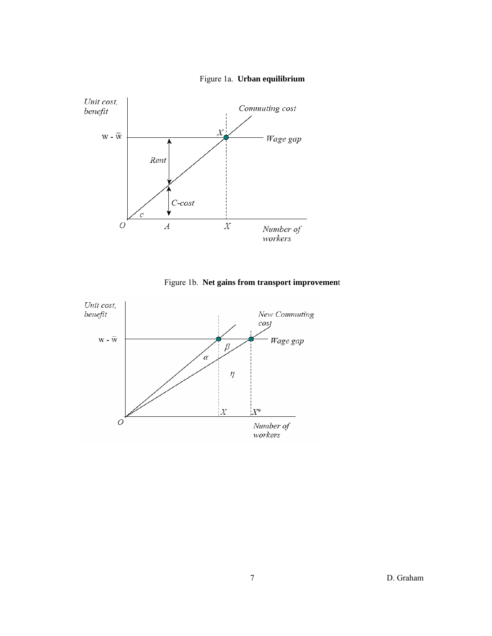

### Figure 1a. **Urban equilibrium**



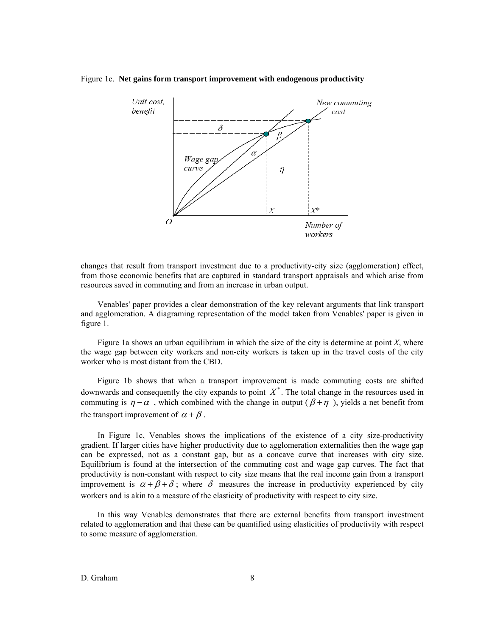

#### Figure 1c. **Net gains form transport improvement with endogenous productivity**

changes that result from transport investment due to a productivity-city size (agglomeration) effect, from those economic benefits that are captured in standard transport appraisals and which arise from resources saved in commuting and from an increase in urban output.

 Venables' paper provides a clear demonstration of the key relevant arguments that link transport and agglomeration. A diagraming representation of the model taken from Venables' paper is given in figure 1.

Figure 1a shows an urban equilibrium in which the size of the city is determine at point  $X$ , where the wage gap between city workers and non-city workers is taken up in the travel costs of the city worker who is most distant from the CBD.

 Figure 1b shows that when a transport improvement is made commuting costs are shifted downwards and consequently the city expands to point  $X^*$ . The total change in the resources used in commuting is  $\eta - \alpha$ , which combined with the change in output ( $\beta + \eta$ ), yields a net benefit from the transport improvement of  $\alpha + \beta$ .

 In Figure 1c, Venables shows the implications of the existence of a city size-productivity gradient. If larger cities have higher productivity due to agglomeration externalities then the wage gap can be expressed, not as a constant gap, but as a concave curve that increases with city size. Equilibrium is found at the intersection of the commuting cost and wage gap curves. The fact that productivity is non-constant with respect to city size means that the real income gain from a transport improvement is  $\alpha + \beta + \delta$ ; where  $\delta$  measures the increase in productivity experienced by city workers and is akin to a measure of the elasticity of productivity with respect to city size.

 In this way Venables demonstrates that there are external benefits from transport investment related to agglomeration and that these can be quantified using elasticities of productivity with respect to some measure of agglomeration.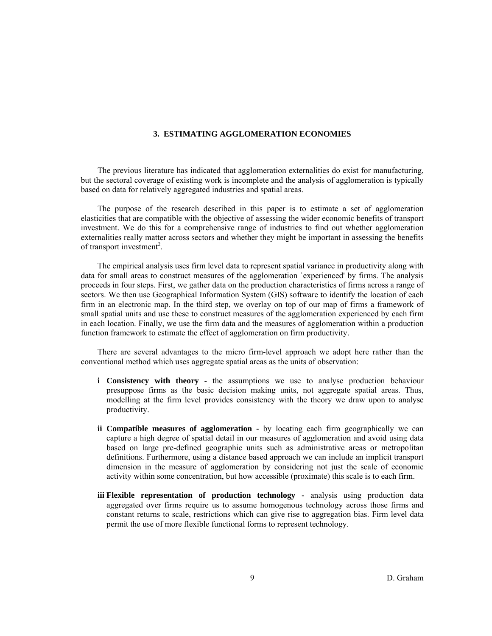#### **3. ESTIMATING AGGLOMERATION ECONOMIES**

 The previous literature has indicated that agglomeration externalities do exist for manufacturing, but the sectoral coverage of existing work is incomplete and the analysis of agglomeration is typically based on data for relatively aggregated industries and spatial areas.

 The purpose of the research described in this paper is to estimate a set of agglomeration elasticities that are compatible with the objective of assessing the wider economic benefits of transport investment. We do this for a comprehensive range of industries to find out whether agglomeration externalities really matter across sectors and whether they might be important in assessing the benefits of transport investment<sup>2</sup>.

 The empirical analysis uses firm level data to represent spatial variance in productivity along with data for small areas to construct measures of the agglomeration `experienced' by firms. The analysis proceeds in four steps. First, we gather data on the production characteristics of firms across a range of sectors. We then use Geographical Information System (GIS) software to identify the location of each firm in an electronic map. In the third step, we overlay on top of our map of firms a framework of small spatial units and use these to construct measures of the agglomeration experienced by each firm in each location. Finally, we use the firm data and the measures of agglomeration within a production function framework to estimate the effect of agglomeration on firm productivity.

 There are several advantages to the micro firm-level approach we adopt here rather than the conventional method which uses aggregate spatial areas as the units of observation:

- **i Consistency with theory**  the assumptions we use to analyse production behaviour presuppose firms as the basic decision making units, not aggregate spatial areas. Thus, modelling at the firm level provides consistency with the theory we draw upon to analyse productivity.
- **ii Compatible measures of agglomeration** by locating each firm geographically we can capture a high degree of spatial detail in our measures of agglomeration and avoid using data based on large pre-defined geographic units such as administrative areas or metropolitan definitions. Furthermore, using a distance based approach we can include an implicit transport dimension in the measure of agglomeration by considering not just the scale of economic activity within some concentration, but how accessible (proximate) this scale is to each firm.
- **iii Flexible representation of production technology analysis using production data** aggregated over firms require us to assume homogenous technology across those firms and constant returns to scale, restrictions which can give rise to aggregation bias. Firm level data permit the use of more flexible functional forms to represent technology.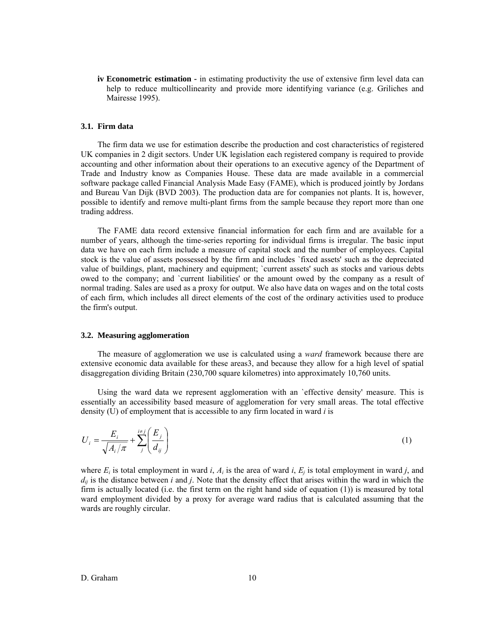**iv Econometric estimation -** in estimating productivity the use of extensive firm level data can help to reduce multicollinearity and provide more identifying variance (e.g. Griliches and Mairesse 1995).

#### **3.1. Firm data**

 The firm data we use for estimation describe the production and cost characteristics of registered UK companies in 2 digit sectors. Under UK legislation each registered company is required to provide accounting and other information about their operations to an executive agency of the Department of Trade and Industry know as Companies House. These data are made available in a commercial software package called Financial Analysis Made Easy (FAME), which is produced jointly by Jordans and Bureau Van Dijk (BVD 2003). The production data are for companies not plants. It is, however, possible to identify and remove multi-plant firms from the sample because they report more than one trading address.

 The FAME data record extensive financial information for each firm and are available for a number of years, although the time-series reporting for individual firms is irregular. The basic input data we have on each firm include a measure of capital stock and the number of employees. Capital stock is the value of assets possessed by the firm and includes `fixed assets' such as the depreciated value of buildings, plant, machinery and equipment; `current assets' such as stocks and various debts owed to the company; and `current liabilities' or the amount owed by the company as a result of normal trading. Sales are used as a proxy for output. We also have data on wages and on the total costs of each firm, which includes all direct elements of the cost of the ordinary activities used to produce the firm's output.

#### **3.2. Measuring agglomeration**

 The measure of agglomeration we use is calculated using a *ward* framework because there are extensive economic data available for these areas3, and because they allow for a high level of spatial disaggregation dividing Britain (230,700 square kilometres) into approximately 10,760 units.

 Using the ward data we represent agglomeration with an `effective density' measure. This is essentially an accessibility based measure of agglomeration for very small areas. The total effective density (U) of employment that is accessible to any firm located in ward *i* is

$$
U_i = \frac{E_i}{\sqrt{A_i/\pi}} + \sum_{j}^{i \neq j} \left(\frac{E_j}{d_{ij}}\right)
$$
 (1)

where  $E_i$  is total employment in ward  $i$ ,  $A_i$  is the area of ward  $i$ ,  $E_j$  is total employment in ward  $j$ , and  $d_{ij}$  is the distance between *i* and *j*. Note that the density effect that arises within the ward in which the firm is actually located (i.e. the first term on the right hand side of equation (1)) is measured by total ward employment divided by a proxy for average ward radius that is calculated assuming that the wards are roughly circular.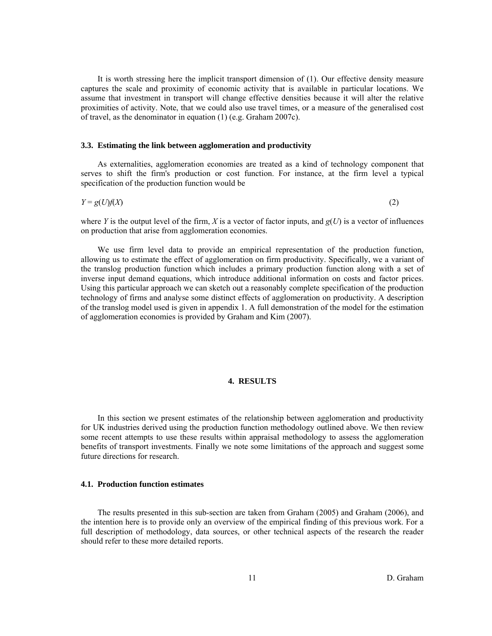It is worth stressing here the implicit transport dimension of (1). Our effective density measure captures the scale and proximity of economic activity that is available in particular locations. We assume that investment in transport will change effective densities because it will alter the relative proximities of activity. Note, that we could also use travel times, or a measure of the generalised cost of travel, as the denominator in equation (1) (e.g. Graham 2007c).

#### **3.3. Estimating the link between agglomeration and productivity**

 As externalities, agglomeration economies are treated as a kind of technology component that serves to shift the firm's production or cost function. For instance, at the firm level a typical specification of the production function would be

$$
Y = g(U)f(X) \tag{2}
$$

where *Y* is the output level of the firm, *X* is a vector of factor inputs, and  $g(U)$  is a vector of influences on production that arise from agglomeration economies.

 We use firm level data to provide an empirical representation of the production function, allowing us to estimate the effect of agglomeration on firm productivity. Specifically, we a variant of the translog production function which includes a primary production function along with a set of inverse input demand equations, which introduce additional information on costs and factor prices. Using this particular approach we can sketch out a reasonably complete specification of the production technology of firms and analyse some distinct effects of agglomeration on productivity. A description of the translog model used is given in appendix 1. A full demonstration of the model for the estimation of agglomeration economies is provided by Graham and Kim (2007).

#### **4. RESULTS**

 In this section we present estimates of the relationship between agglomeration and productivity for UK industries derived using the production function methodology outlined above. We then review some recent attempts to use these results within appraisal methodology to assess the agglomeration benefits of transport investments. Finally we note some limitations of the approach and suggest some future directions for research.

#### **4.1. Production function estimates**

 The results presented in this sub-section are taken from Graham (2005) and Graham (2006), and the intention here is to provide only an overview of the empirical finding of this previous work. For a full description of methodology, data sources, or other technical aspects of the research the reader should refer to these more detailed reports.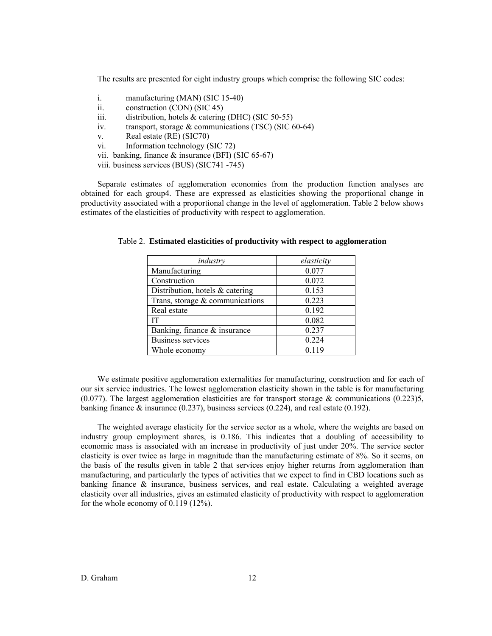The results are presented for eight industry groups which comprise the following SIC codes:

- i. manufacturing (MAN) (SIC 15-40)
- ii. construction (CON) (SIC 45)
- iii. distribution, hotels & catering (DHC) (SIC 50-55)
- iv. transport, storage & communications (TSC) (SIC 60-64)
- v. Real estate (RE) (SIC70)
- vi. Information technology (SIC 72)
- vii. banking, finance & insurance (BFI) (SIC 65-67)
- viii. business services (BUS) (SIC741 -745)

 Separate estimates of agglomeration economies from the production function analyses are obtained for each group4. These are expressed as elasticities showing the proportional change in productivity associated with a proportional change in the level of agglomeration. Table 2 below shows estimates of the elasticities of productivity with respect to agglomeration.

| industry                           | elasticity |
|------------------------------------|------------|
| Manufacturing                      | 0.077      |
| Construction                       | 0.072      |
| Distribution, hotels $\&$ catering | 0.153      |
| Trans, storage $&$ communications  | 0.223      |
| Real estate                        | 0.192      |
|                                    | 0.082      |
| Banking, finance & insurance       | 0.237      |
| <b>Business services</b>           | 0.224      |
| Whole economy                      | 0.119      |

Table 2. **Estimated elasticities of productivity with respect to agglomeration**

 We estimate positive agglomeration externalities for manufacturing, construction and for each of our six service industries. The lowest agglomeration elasticity shown in the table is for manufacturing  $(0.077)$ . The largest agglomeration elasticities are for transport storage & communications  $(0.223)5$ , banking finance  $\&$  insurance (0.237), business services (0.224), and real estate (0.192).

 The weighted average elasticity for the service sector as a whole, where the weights are based on industry group employment shares, is 0.186. This indicates that a doubling of accessibility to economic mass is associated with an increase in productivity of just under 20%. The service sector elasticity is over twice as large in magnitude than the manufacturing estimate of 8%. So it seems, on the basis of the results given in table 2 that services enjoy higher returns from agglomeration than manufacturing, and particularly the types of activities that we expect to find in CBD locations such as banking finance & insurance, business services, and real estate. Calculating a weighted average elasticity over all industries, gives an estimated elasticity of productivity with respect to agglomeration for the whole economy of 0.119 (12%).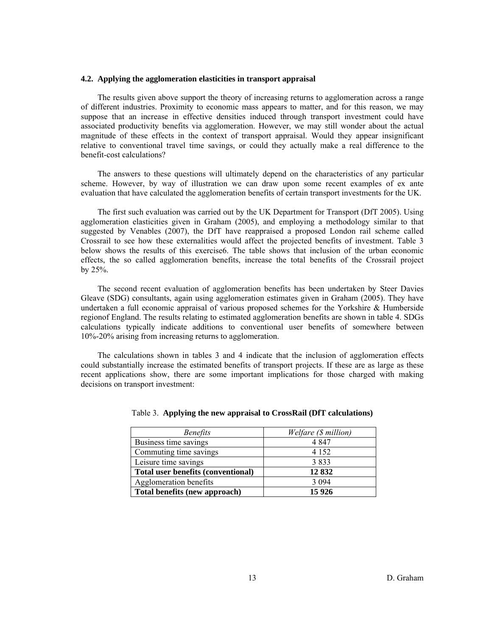#### **4.2. Applying the agglomeration elasticities in transport appraisal**

 The results given above support the theory of increasing returns to agglomeration across a range of different industries. Proximity to economic mass appears to matter, and for this reason, we may suppose that an increase in effective densities induced through transport investment could have associated productivity benefits via agglomeration. However, we may still wonder about the actual magnitude of these effects in the context of transport appraisal. Would they appear insignificant relative to conventional travel time savings, or could they actually make a real difference to the benefit-cost calculations?

 The answers to these questions will ultimately depend on the characteristics of any particular scheme. However, by way of illustration we can draw upon some recent examples of ex ante evaluation that have calculated the agglomeration benefits of certain transport investments for the UK.

 The first such evaluation was carried out by the UK Department for Transport (DfT 2005). Using agglomeration elasticities given in Graham (2005), and employing a methodology similar to that suggested by Venables (2007), the DfT have reappraised a proposed London rail scheme called Crossrail to see how these externalities would affect the projected benefits of investment. Table 3 below shows the results of this exercise6. The table shows that inclusion of the urban economic effects, the so called agglomeration benefits, increase the total benefits of the Crossrail project by 25%.

 The second recent evaluation of agglomeration benefits has been undertaken by Steer Davies Gleave (SDG) consultants, again using agglomeration estimates given in Graham (2005). They have undertaken a full economic appraisal of various proposed schemes for the Yorkshire & Humberside regionof England. The results relating to estimated agglomeration benefits are shown in table 4. SDGs calculations typically indicate additions to conventional user benefits of somewhere between 10%-20% arising from increasing returns to agglomeration.

 The calculations shown in tables 3 and 4 indicate that the inclusion of agglomeration effects could substantially increase the estimated benefits of transport projects. If these are as large as these recent applications show, there are some important implications for those charged with making decisions on transport investment:

| <b>Benefits</b>                    | Welfare (\$ million) |
|------------------------------------|----------------------|
| Business time savings              | 4 8 4 7              |
| Commuting time savings             | 4 1 5 2              |
| Leisure time savings               | 3833                 |
| Total user benefits (conventional) | 12832                |
| Agglomeration benefits             | 3 0 9 4              |
| Total benefits (new approach)      | 15926                |

#### Table 3. **Applying the new appraisal to CrossRail (DfT calculations)**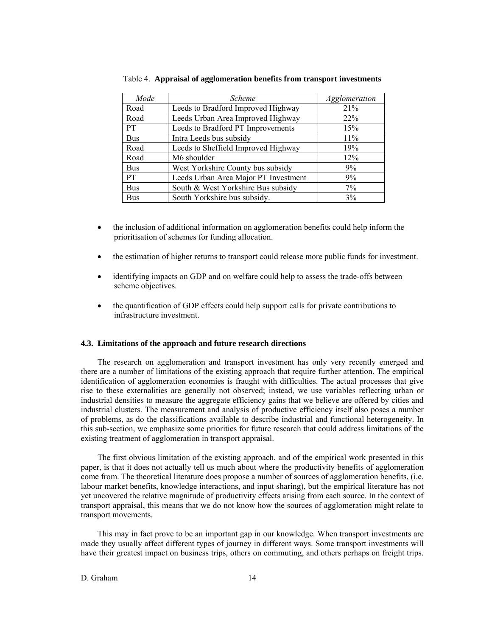| Mode       | Scheme                               | Agglomeration |
|------------|--------------------------------------|---------------|
| Road       | Leeds to Bradford Improved Highway   | 21%           |
| Road       | Leeds Urban Area Improved Highway    | $22\%$        |
| <b>PT</b>  | Leeds to Bradford PT Improvements    | 15%           |
| <b>Bus</b> | Intra Leeds bus subsidy              | 11%           |
| Road       | Leeds to Sheffield Improved Highway  | 19%           |
| Road       | M6 shoulder                          | 12%           |
| <b>Bus</b> | West Yorkshire County bus subsidy    | $9\%$         |
| <b>PT</b>  | Leeds Urban Area Major PT Investment | 9%            |
| <b>Bus</b> | South & West Yorkshire Bus subsidy   | $7\%$         |
| <b>Bus</b> | South Yorkshire bus subsidy.         | 3%            |

Table 4. **Appraisal of agglomeration benefits from transport investments** 

- the inclusion of additional information on agglomeration benefits could help inform the prioritisation of schemes for funding allocation.
- the estimation of higher returns to transport could release more public funds for investment.
- identifying impacts on GDP and on welfare could help to assess the trade-offs between scheme objectives.
- the quantification of GDP effects could help support calls for private contributions to infrastructure investment.

#### **4.3. Limitations of the approach and future research directions**

 The research on agglomeration and transport investment has only very recently emerged and there are a number of limitations of the existing approach that require further attention. The empirical identification of agglomeration economies is fraught with difficulties. The actual processes that give rise to these externalities are generally not observed; instead, we use variables reflecting urban or industrial densities to measure the aggregate efficiency gains that we believe are offered by cities and industrial clusters. The measurement and analysis of productive efficiency itself also poses a number of problems, as do the classifications available to describe industrial and functional heterogeneity. In this sub-section, we emphasize some priorities for future research that could address limitations of the existing treatment of agglomeration in transport appraisal.

 The first obvious limitation of the existing approach, and of the empirical work presented in this paper, is that it does not actually tell us much about where the productivity benefits of agglomeration come from. The theoretical literature does propose a number of sources of agglomeration benefits, (i.e. labour market benefits, knowledge interactions, and input sharing), but the empirical literature has not yet uncovered the relative magnitude of productivity effects arising from each source. In the context of transport appraisal, this means that we do not know how the sources of agglomeration might relate to transport movements.

 This may in fact prove to be an important gap in our knowledge. When transport investments are made they usually affect different types of journey in different ways. Some transport investments will have their greatest impact on business trips, others on commuting, and others perhaps on freight trips.

#### D. Graham 14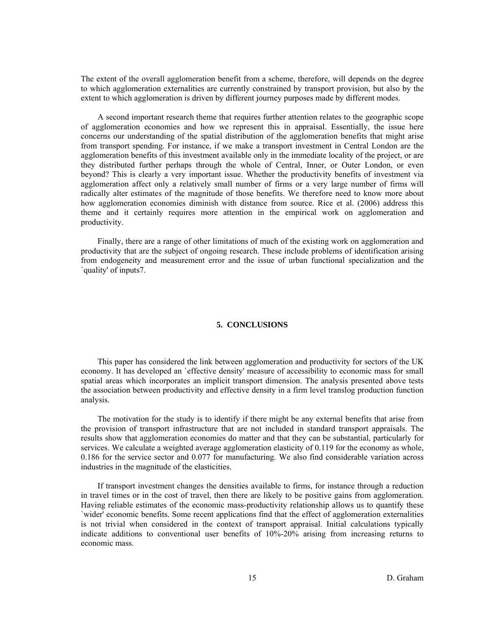The extent of the overall agglomeration benefit from a scheme, therefore, will depends on the degree to which agglomeration externalities are currently constrained by transport provision, but also by the extent to which agglomeration is driven by different journey purposes made by different modes.

 A second important research theme that requires further attention relates to the geographic scope of agglomeration economies and how we represent this in appraisal. Essentially, the issue here concerns our understanding of the spatial distribution of the agglomeration benefits that might arise from transport spending. For instance, if we make a transport investment in Central London are the agglomeration benefits of this investment available only in the immediate locality of the project, or are they distributed further perhaps through the whole of Central, Inner, or Outer London, or even beyond? This is clearly a very important issue. Whether the productivity benefits of investment via agglomeration affect only a relatively small number of firms or a very large number of firms will radically alter estimates of the magnitude of those benefits. We therefore need to know more about how agglomeration economies diminish with distance from source. Rice et al. (2006) address this theme and it certainly requires more attention in the empirical work on agglomeration and productivity.

 Finally, there are a range of other limitations of much of the existing work on agglomeration and productivity that are the subject of ongoing research. These include problems of identification arising from endogeneity and measurement error and the issue of urban functional specialization and the `quality' of inputs7.

#### **5. CONCLUSIONS**

 This paper has considered the link between agglomeration and productivity for sectors of the UK economy. It has developed an `effective density' measure of accessibility to economic mass for small spatial areas which incorporates an implicit transport dimension. The analysis presented above tests the association between productivity and effective density in a firm level translog production function analysis.

 The motivation for the study is to identify if there might be any external benefits that arise from the provision of transport infrastructure that are not included in standard transport appraisals. The results show that agglomeration economies do matter and that they can be substantial, particularly for services. We calculate a weighted average agglomeration elasticity of 0.119 for the economy as whole, 0.186 for the service sector and 0.077 for manufacturing. We also find considerable variation across industries in the magnitude of the elasticities.

 If transport investment changes the densities available to firms, for instance through a reduction in travel times or in the cost of travel, then there are likely to be positive gains from agglomeration. Having reliable estimates of the economic mass-productivity relationship allows us to quantify these `wider' economic benefits. Some recent applications find that the effect of agglomeration externalities is not trivial when considered in the context of transport appraisal. Initial calculations typically indicate additions to conventional user benefits of 10%-20% arising from increasing returns to economic mass.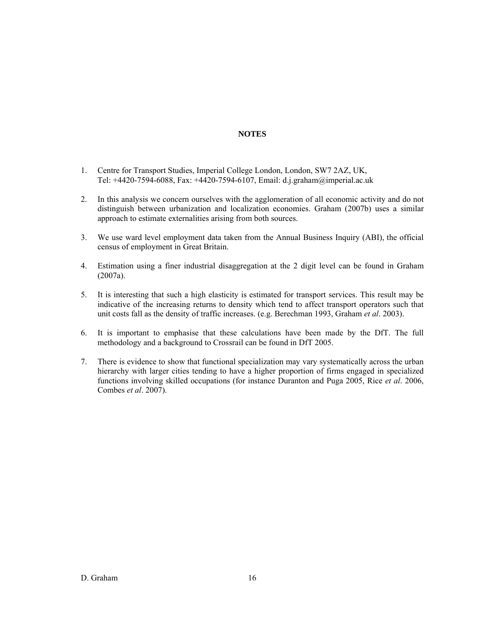#### **NOTES**

- 1. Centre for Transport Studies, Imperial College London, London, SW7 2AZ, UK, Tel: +4420-7594-6088, Fax: +4420-7594-6107, Email: d.j.graham@imperial.ac.uk
- 2. In this analysis we concern ourselves with the agglomeration of all economic activity and do not distinguish between urbanization and localization economies. Graham (2007b) uses a similar approach to estimate externalities arising from both sources.
- 3. We use ward level employment data taken from the Annual Business Inquiry (ABI), the official census of employment in Great Britain.
- 4. Estimation using a finer industrial disaggregation at the 2 digit level can be found in Graham (2007a).
- 5. It is interesting that such a high elasticity is estimated for transport services. This result may be indicative of the increasing returns to density which tend to affect transport operators such that unit costs fall as the density of traffic increases. (e.g. Berechman 1993, Graham *et al*. 2003).
- 6. It is important to emphasise that these calculations have been made by the DfT. The full methodology and a background to Crossrail can be found in DfT 2005.
- 7. There is evidence to show that functional specialization may vary systematically across the urban hierarchy with larger cities tending to have a higher proportion of firms engaged in specialized functions involving skilled occupations (for instance Duranton and Puga 2005, Rice *et al*. 2006, Combes *et al*. 2007).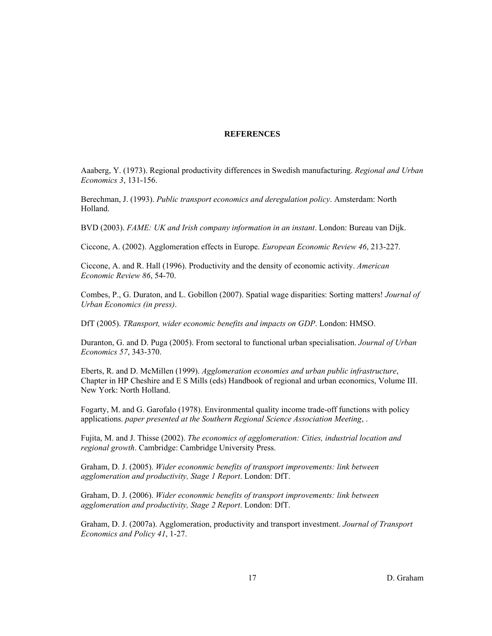#### **REFERENCES**

Aaaberg, Y. (1973). Regional productivity differences in Swedish manufacturing. *Regional and Urban Economics 3*, 131-156.

Berechman, J. (1993). *Public transport economics and deregulation policy*. Amsterdam: North Holland.

BVD (2003). *FAME: UK and Irish company information in an instant*. London: Bureau van Dijk.

Ciccone, A. (2002). Agglomeration effects in Europe. *European Economic Review 46*, 213-227.

Ciccone, A. and R. Hall (1996). Productivity and the density of economic activity. *American Economic Review 86*, 54-70.

Combes, P., G. Duraton, and L. Gobillon (2007). Spatial wage disparities: Sorting matters! *Journal of Urban Economics (in press)*.

DfT (2005). *TRansport, wider economic benefits and impacts on GDP*. London: HMSO.

Duranton, G. and D. Puga (2005). From sectoral to functional urban specialisation. *Journal of Urban Economics 57*, 343-370.

Eberts, R. and D. McMillen (1999). *Agglomeration economies and urban public infrastructure*, Chapter in HP Cheshire and E S Mills (eds) Handbook of regional and urban economics, Volume III. New York: North Holland.

Fogarty, M. and G. Garofalo (1978). Environmental quality income trade-off functions with policy applications. *paper presented at the Southern Regional Science Association Meeting*, .

Fujita, M. and J. Thisse (2002). *The economics of agglomeration: Cities, industrial location and regional growth*. Cambridge: Cambridge University Press.

Graham, D. J. (2005). *Wider econonmic benefits of transport improvements: link between agglomeration and productivity, Stage 1 Report*. London: DfT.

Graham, D. J. (2006). *Wider econonmic benefits of transport improvements: link between agglomeration and productivity, Stage 2 Report*. London: DfT.

Graham, D. J. (2007a). Agglomeration, productivity and transport investment. *Journal of Transport Economics and Policy 41*, 1-27.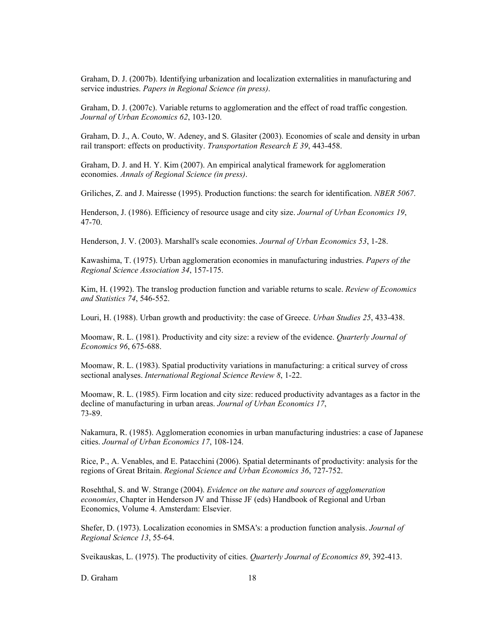Graham, D. J. (2007b). Identifying urbanization and localization externalities in manufacturing and service industries. *Papers in Regional Science (in press)*.

Graham, D. J. (2007c). Variable returns to agglomeration and the effect of road traffic congestion. *Journal of Urban Economics 62*, 103-120.

Graham, D. J., A. Couto, W. Adeney, and S. Glasiter (2003). Economies of scale and density in urban rail transport: effects on productivity. *Transportation Research E 39*, 443-458.

Graham, D. J. and H. Y. Kim (2007). An empirical analytical framework for agglomeration economies. *Annals of Regional Science (in press)*.

Griliches, Z. and J. Mairesse (1995). Production functions: the search for identification. *NBER 5067*.

Henderson, J. (1986). Efficiency of resource usage and city size. *Journal of Urban Economics 19*, 47-70.

Henderson, J. V. (2003). Marshall's scale economies. *Journal of Urban Economics 53*, 1-28.

Kawashima, T. (1975). Urban agglomeration economies in manufacturing industries. *Papers of the Regional Science Association 34*, 157-175.

Kim, H. (1992). The translog production function and variable returns to scale. *Review of Economics and Statistics 74*, 546-552.

Louri, H. (1988). Urban growth and productivity: the case of Greece. *Urban Studies 25*, 433-438.

Moomaw, R. L. (1981). Productivity and city size: a review of the evidence. *Quarterly Journal of Economics 96*, 675-688.

Moomaw, R. L. (1983). Spatial productivity variations in manufacturing: a critical survey of cross sectional analyses. *International Regional Science Review 8*, 1-22.

Moomaw, R. L. (1985). Firm location and city size: reduced productivity advantages as a factor in the decline of manufacturing in urban areas. *Journal of Urban Economics 17*, 73-89.

Nakamura, R. (1985). Agglomeration economies in urban manufacturing industries: a case of Japanese cities. *Journal of Urban Economics 17*, 108-124.

Rice, P., A. Venables, and E. Patacchini (2006). Spatial determinants of productivity: analysis for the regions of Great Britain. *Regional Science and Urban Economics 36*, 727-752.

Rosehthal, S. and W. Strange (2004). *Evidence on the nature and sources of agglomeration economies*, Chapter in Henderson JV and Thisse JF (eds) Handbook of Regional and Urban Economics, Volume 4. Amsterdam: Elsevier.

Shefer, D. (1973). Localization economies in SMSA's: a production function analysis. *Journal of Regional Science 13*, 55-64.

Sveikauskas, L. (1975). The productivity of cities. *Quarterly Journal of Economics 89*, 392-413.

D. Graham 18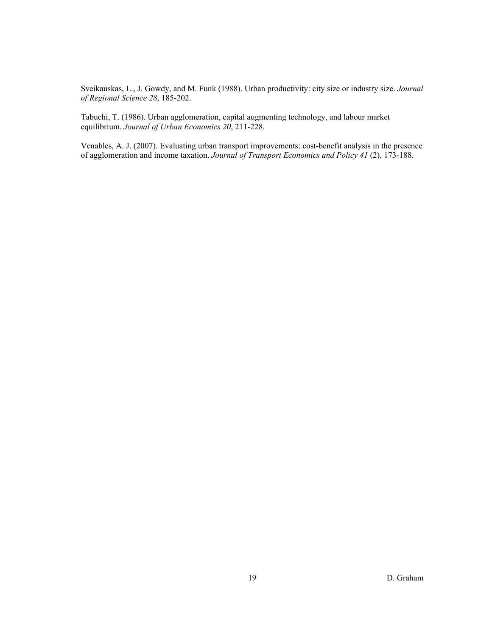Sveikauskas, L., J. Gowdy, and M. Funk (1988). Urban productivity: city size or industry size. *Journal of Regional Science 28*, 185-202.

Tabuchi, T. (1986). Urban agglomeration, capital augmenting technology, and labour market equilibrium. *Journal of Urban Economics 20*, 211-228.

Venables, A. J. (2007). Evaluating urban transport improvements: cost-benefit analysis in the presence of agglomeration and income taxation. *Journal of Transport Economics and Policy 41* (2), 173-188.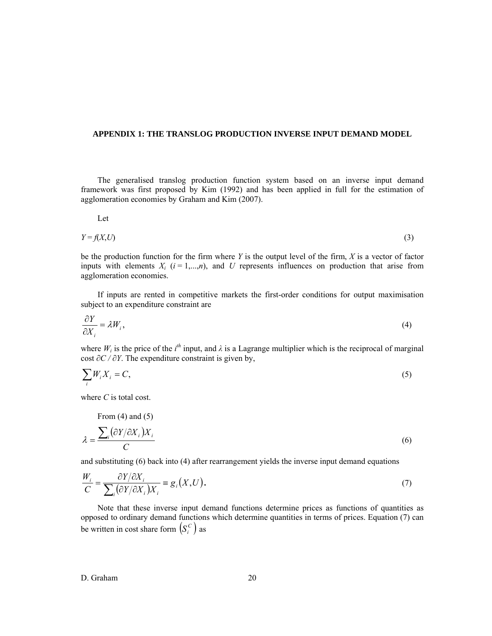#### **APPENDIX 1: THE TRANSLOG PRODUCTION INVERSE INPUT DEMAND MODEL**

 The generalised translog production function system based on an inverse input demand framework was first proposed by Kim (1992) and has been applied in full for the estimation of agglomeration economies by Graham and Kim (2007).

Let

$$
Y = f(X, U) \tag{3}
$$

be the production function for the firm where *Y* is the output level of the firm, *X* is a vector of factor inputs with elements  $X_i$  ( $i = 1,...,n$ ), and *U* represents influences on production that arise from agglomeration economies.

 If inputs are rented in competitive markets the first-order conditions for output maximisation subject to an expenditure constraint are

$$
\frac{\partial Y}{\partial X_i} = \lambda W_i,\tag{4}
$$

where  $W_i$  is the price of the  $i^{\text{th}}$  input, and  $\lambda$  is a Lagrange multiplier which is the reciprocal of marginal cost *∂C / ∂Y*. The expenditure constraint is given by,

$$
\sum_{i} W_{i} X_{i} = C,
$$
\n<sup>(5)</sup>

where *C* is total cost.

From  $(4)$  and  $(5)$ 

$$
\lambda = \frac{\sum_{i} (\partial Y / \partial X_{i}) X_{i}}{C}
$$
\n(6)

and substituting (6) back into (4) after rearrangement yields the inverse input demand equations

$$
\frac{W_i}{C} = \frac{\partial Y/\partial X_i}{\sum_i (\partial Y/\partial X_i)X_i} \equiv g_i(X, U).
$$
\n(7)

 Note that these inverse input demand functions determine prices as functions of quantities as opposed to ordinary demand functions which determine quantities in terms of prices. Equation (7) can be written in cost share form  $(S<sup>c</sup>)$  as

D. Graham 20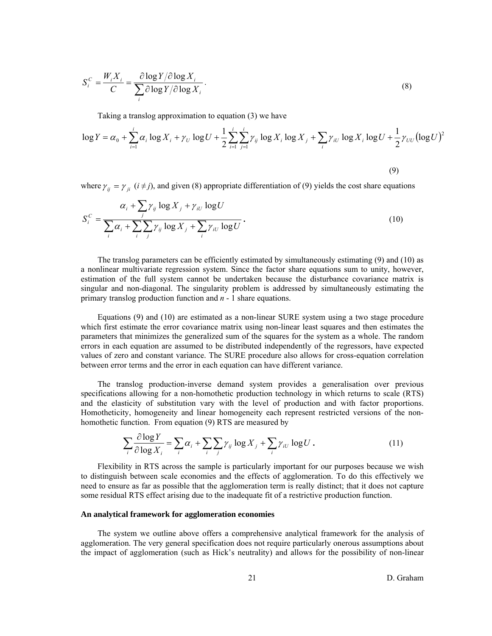$$
S_i^C = \frac{W_i X_i}{C} = \frac{\partial \log Y / \partial \log X_i}{\sum_i \partial \log Y / \partial \log X_i}.
$$
\n(8)

Taking a translog approximation to equation (3) we have

$$
\log Y = \alpha_0 + \sum_{i=1}^{i} \alpha_i \log X_i + \gamma_U \log U + \frac{1}{2} \sum_{i=1}^{i} \sum_{j=1}^{i} \gamma_{ij} \log X_i \log X_j + \sum_{i} \gamma_{iU} \log X_i \log U + \frac{1}{2} \gamma_{UU} (\log U)^2
$$

(9)

where  $\gamma_{ii} = \gamma_{ii}$  ( $i \neq j$ ), and given (8) appropriate differentiation of (9) yields the cost share equations

$$
S_i^C = \frac{\alpha_i + \sum_j \gamma_{ij} \log X_j + \gamma_{iU} \log U}{\sum_i \alpha_i + \sum_i \sum_j \gamma_{ij} \log X_j + \sum_i \gamma_{iU} \log U}.
$$
\n(10)

 The translog parameters can be efficiently estimated by simultaneously estimating (9) and (10) as a nonlinear multivariate regression system. Since the factor share equations sum to unity, however, estimation of the full system cannot be undertaken because the disturbance covariance matrix is singular and non-diagonal. The singularity problem is addressed by simultaneously estimating the primary translog production function and *n* - 1 share equations.

 Equations (9) and (10) are estimated as a non-linear SURE system using a two stage procedure which first estimate the error covariance matrix using non-linear least squares and then estimates the parameters that minimizes the generalized sum of the squares for the system as a whole. The random errors in each equation are assumed to be distributed independently of the regressors, have expected values of zero and constant variance. The SURE procedure also allows for cross-equation correlation between error terms and the error in each equation can have different variance.

 The translog production-inverse demand system provides a generalisation over previous specifications allowing for a non-homothetic production technology in which returns to scale (RTS) and the elasticity of substitution vary with the level of production and with factor proportions. Homotheticity, homogeneity and linear homogeneity each represent restricted versions of the nonhomothetic function. From equation (9) RTS are measured by

$$
\sum_{i} \frac{\partial \log Y}{\partial \log X_i} = \sum_{i} \alpha_i + \sum_{i} \sum_{j} \gamma_{ij} \log X_j + \sum_{i} \gamma_{iU} \log U.
$$
 (11)

 Flexibility in RTS across the sample is particularly important for our purposes because we wish to distinguish between scale economies and the effects of agglomeration. To do this effectively we need to ensure as far as possible that the agglomeration term is really distinct; that it does not capture some residual RTS effect arising due to the inadequate fit of a restrictive production function.

#### **An analytical framework for agglomeration economies**

 The system we outline above offers a comprehensive analytical framework for the analysis of agglomeration. The very general specification does not require particularly onerous assumptions about the impact of agglomeration (such as Hick's neutrality) and allows for the possibility of non-linear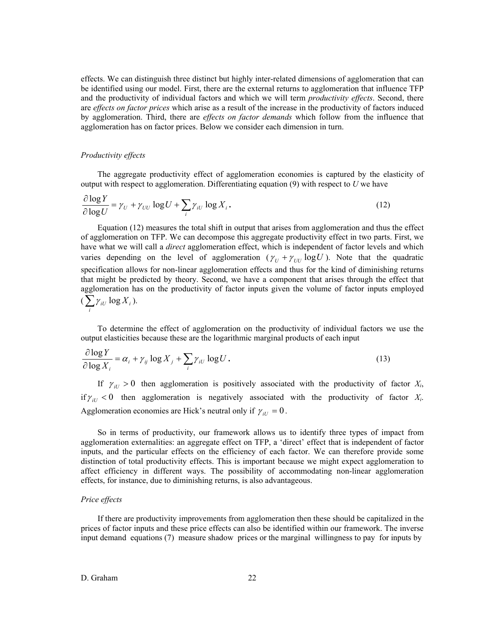effects. We can distinguish three distinct but highly inter-related dimensions of agglomeration that can be identified using our model. First, there are the external returns to agglomeration that influence TFP and the productivity of individual factors and which we will term *productivity effects*. Second, there are *effects on factor prices* which arise as a result of the increase in the productivity of factors induced by agglomeration. Third, there are *effects on factor demands* which follow from the influence that agglomeration has on factor prices. Below we consider each dimension in turn.

#### *Productivity effects*

 The aggregate productivity effect of agglomeration economies is captured by the elasticity of output with respect to agglomeration. Differentiating equation (9) with respect to *U* we have

$$
\frac{\partial \log Y}{\partial \log U} = \gamma_U + \gamma_{UU} \log U + \sum_{i} \gamma_{iU} \log X_i.
$$
\n(12)

 Equation (12) measures the total shift in output that arises from agglomeration and thus the effect of agglomeration on TFP. We can decompose this aggregate productivity effect in two parts. First, we have what we will call a *direct* agglomeration effect, which is independent of factor levels and which varies depending on the level of agglomeration ( $\gamma_U + \gamma_{UU} \log U$ ). Note that the quadratic specification allows for non-linear agglomeration effects and thus for the kind of diminishing returns that might be predicted by theory. Second, we have a component that arises through the effect that agglomeration has on the productivity of factor inputs given the volume of factor inputs employed  $\big(\sum_i \gamma_{iU} \log X_i\big).$ 

 To determine the effect of agglomeration on the productivity of individual factors we use the output elasticities because these are the logarithmic marginal products of each input

$$
\frac{\partial \log Y}{\partial \log X_i} = \alpha_i + \gamma_{ij} \log X_j + \sum_i \gamma_{iU} \log U.
$$
\n(13)

If  $\gamma_{iU} > 0$  then agglomeration is positively associated with the productivity of factor  $X_i$ , if  $\gamma_{iU}$  < 0 then agglomeration is negatively associated with the productivity of factor  $X_i$ . Agglomeration economies are Hick's neutral only if  $\gamma_{iU} = 0$ .

 So in terms of productivity, our framework allows us to identify three types of impact from agglomeration externalities: an aggregate effect on TFP, a 'direct' effect that is independent of factor inputs, and the particular effects on the efficiency of each factor. We can therefore provide some distinction of total productivity effects. This is important because we might expect agglomeration to affect efficiency in different ways. The possibility of accommodating non-linear agglomeration effects, for instance, due to diminishing returns, is also advantageous.

#### *Price effects*

 If there are productivity improvements from agglomeration then these should be capitalized in the prices of factor inputs and these price effects can also be identified within our framework. The inverse input demand equations (7) measure shadow prices or the marginal willingness to pay for inputs by